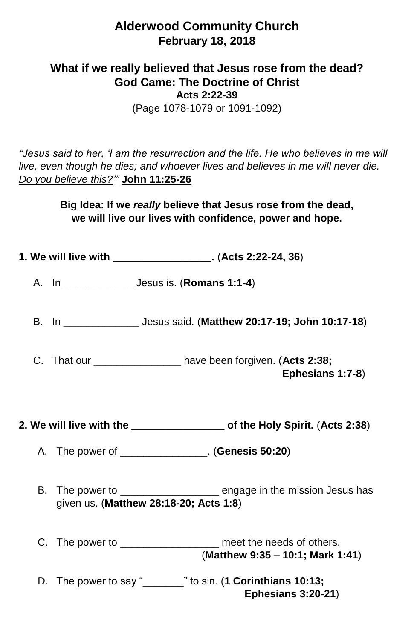## **Alderwood Community Church February 18, 2018**

## **What if we really believed that Jesus rose from the dead? God Came: The Doctrine of Christ Acts 2:22-39** (Page 1078-1079 or 1091-1092)

*"Jesus said to her, 'I am the resurrection and the life. He who believes in me will live, even though he dies; and whoever lives and believes in me will never die. Do you believe this?'"* **John 11:25-26**

> **Big Idea: If we** *really* **believe that Jesus rose from the dead, we will live our lives with confidence, power and hope.**

|  |  | 1. We will live with ___________________. (Acts 2:22-24, 36)                                                   |
|--|--|----------------------------------------------------------------------------------------------------------------|
|  |  |                                                                                                                |
|  |  | B. In ______________________ Jesus said. (Matthew 20:17-19; John 10:17-18)                                     |
|  |  | C. That our __________________ have been forgiven. (Acts 2:38;<br>Ephesians 1:7-8)                             |
|  |  | 2. We will live with the ___________________ of the Holy Spirit. (Acts 2:38)                                   |
|  |  | A. The power of _______________. (Genesis 50:20)                                                               |
|  |  | B. The power to ____________________ engage in the mission Jesus has<br>given us. (Matthew 28:18-20; Acts 1:8) |
|  |  | C. The power to __________________ meet the needs of others.<br>(Matthew 9:35 - 10:1; Mark 1:41)               |
|  |  | D. The power to say "______" to sin. (1 Corinthians 10:13;<br><b>Ephesians 3:20-21)</b>                        |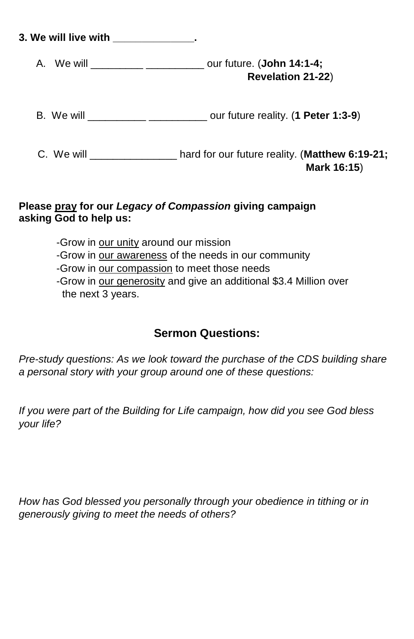| 3. We will live with ______________. |                                                                                                   |  |  |
|--------------------------------------|---------------------------------------------------------------------------------------------------|--|--|
|                                      | A. We will ________________________________ our future. (John 14:1-4;<br><b>Revelation 21-22)</b> |  |  |
|                                      | B. We will _____________________________ our future reality. (1 Peter 1:3-9)                      |  |  |
|                                      | hard for our future reality. (Matthew 6:19-21;<br>Mark 16:15)                                     |  |  |

## **Please pray for our** *Legacy of Compassion* **giving campaign asking God to help us:**

-Grow in our unity around our mission -Grow in our awareness of the needs in our community -Grow in our compassion to meet those needs -Grow in our generosity and give an additional \$3.4 Million over the next 3 years.

## **Sermon Questions:**

*Pre-study questions: As we look toward the purchase of the CDS building share a personal story with your group around one of these questions:*

*If you were part of the Building for Life campaign, how did you see God bless your life?*

*How has God blessed you personally through your obedience in tithing or in generously giving to meet the needs of others?*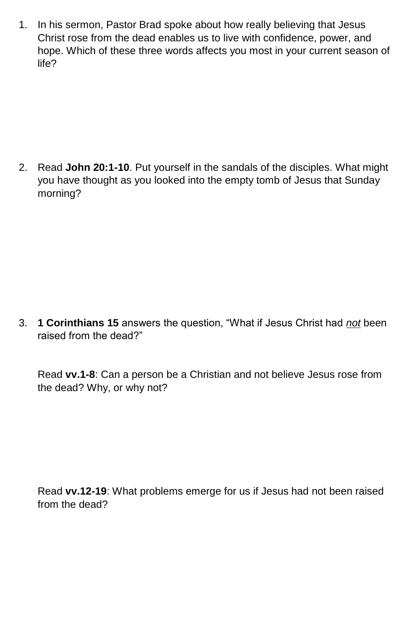1. In his sermon, Pastor Brad spoke about how really believing that Jesus Christ rose from the dead enables us to live with confidence, power, and hope. Which of these three words affects you most in your current season of life?

2. Read **John 20:1-10**. Put yourself in the sandals of the disciples. What might you have thought as you looked into the empty tomb of Jesus that Sunday morning?

3. **1 Corinthians 15** answers the question, "What if Jesus Christ had *not* been raised from the dead?"

Read **vv.1-8**: Can a person be a Christian and not believe Jesus rose from the dead? Why, or why not?

Read **vv.12-19**: What problems emerge for us if Jesus had not been raised from the dead?